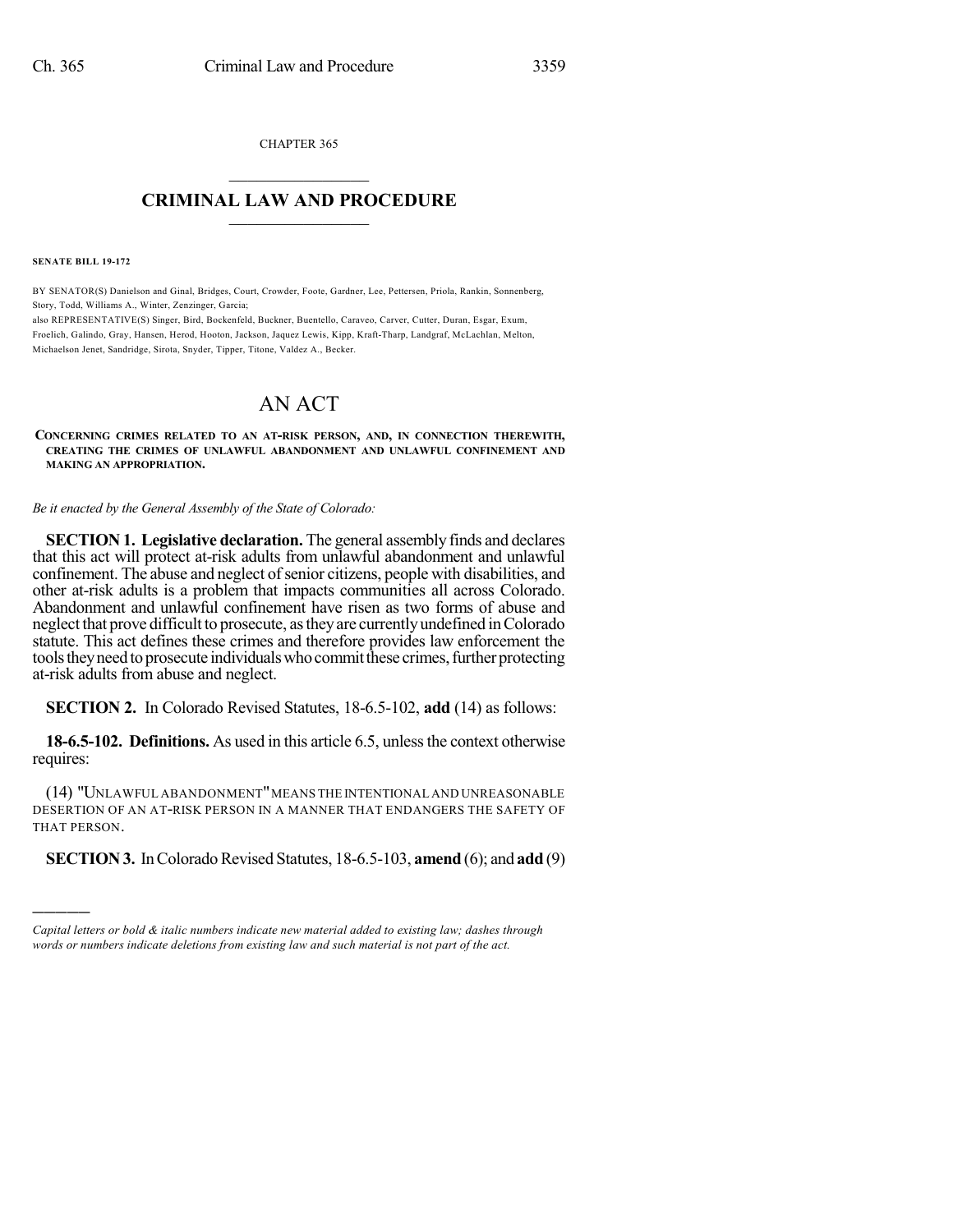CHAPTER 365  $\mathcal{L}_\text{max}$  . The set of the set of the set of the set of the set of the set of the set of the set of the set of the set of the set of the set of the set of the set of the set of the set of the set of the set of the set

## **CRIMINAL LAW AND PROCEDURE**  $\frac{1}{2}$  ,  $\frac{1}{2}$  ,  $\frac{1}{2}$  ,  $\frac{1}{2}$  ,  $\frac{1}{2}$  ,  $\frac{1}{2}$  ,  $\frac{1}{2}$

**SENATE BILL 19-172**

)))))

BY SENATOR(S) Danielson and Ginal, Bridges, Court, Crowder, Foote, Gardner, Lee, Pettersen, Priola, Rankin, Sonnenberg, Story, Todd, Williams A., Winter, Zenzinger, Garcia;

also REPRESENTATIVE(S) Singer, Bird, Bockenfeld, Buckner, Buentello, Caraveo, Carver, Cutter, Duran, Esgar, Exum, Froelich, Galindo, Gray, Hansen, Herod, Hooton, Jackson, Jaquez Lewis, Kipp, Kraft-Tharp, Landgraf, McLachlan, Melton, Michaelson Jenet, Sandridge, Sirota, Snyder, Tipper, Titone, Valdez A., Becker.

## AN ACT

**CONCERNING CRIMES RELATED TO AN AT-RISK PERSON, AND, IN CONNECTION THEREWITH, CREATING THE CRIMES OF UNLAWFUL ABANDONMENT AND UNLAWFUL CONFINEMENT AND MAKING AN APPROPRIATION.**

*Be it enacted by the General Assembly of the State of Colorado:*

**SECTION 1. Legislative declaration.** The general assembly finds and declares that this act will protect at-risk adults from unlawful abandonment and unlawful confinement. The abuse and neglect of senior citizens, people with disabilities, and other at-risk adults is a problem that impacts communities all across Colorado. Abandonment and unlawful confinement have risen as two forms of abuse and neglect that prove difficult to prosecute, astheyare currentlyundefined inColorado statute. This act defines these crimes and therefore provides law enforcement the tools they need to prosecute individuals who commit these crimes, further protecting at-risk adults from abuse and neglect.

**SECTION 2.** In Colorado Revised Statutes, 18-6.5-102, **add** (14) as follows:

**18-6.5-102. Definitions.** As used in this article 6.5, unless the context otherwise requires:

(14) "UNLAWFUL ABANDONMENT"MEANS THE INTENTIONAL AND UNREASONABLE DESERTION OF AN AT-RISK PERSON IN A MANNER THAT ENDANGERS THE SAFETY OF THAT PERSON.

**SECTION 3.** In Colorado Revised Statutes, 18-6.5-103, **amend** (6); and **add** (9)

*Capital letters or bold & italic numbers indicate new material added to existing law; dashes through words or numbers indicate deletions from existing law and such material is not part of the act.*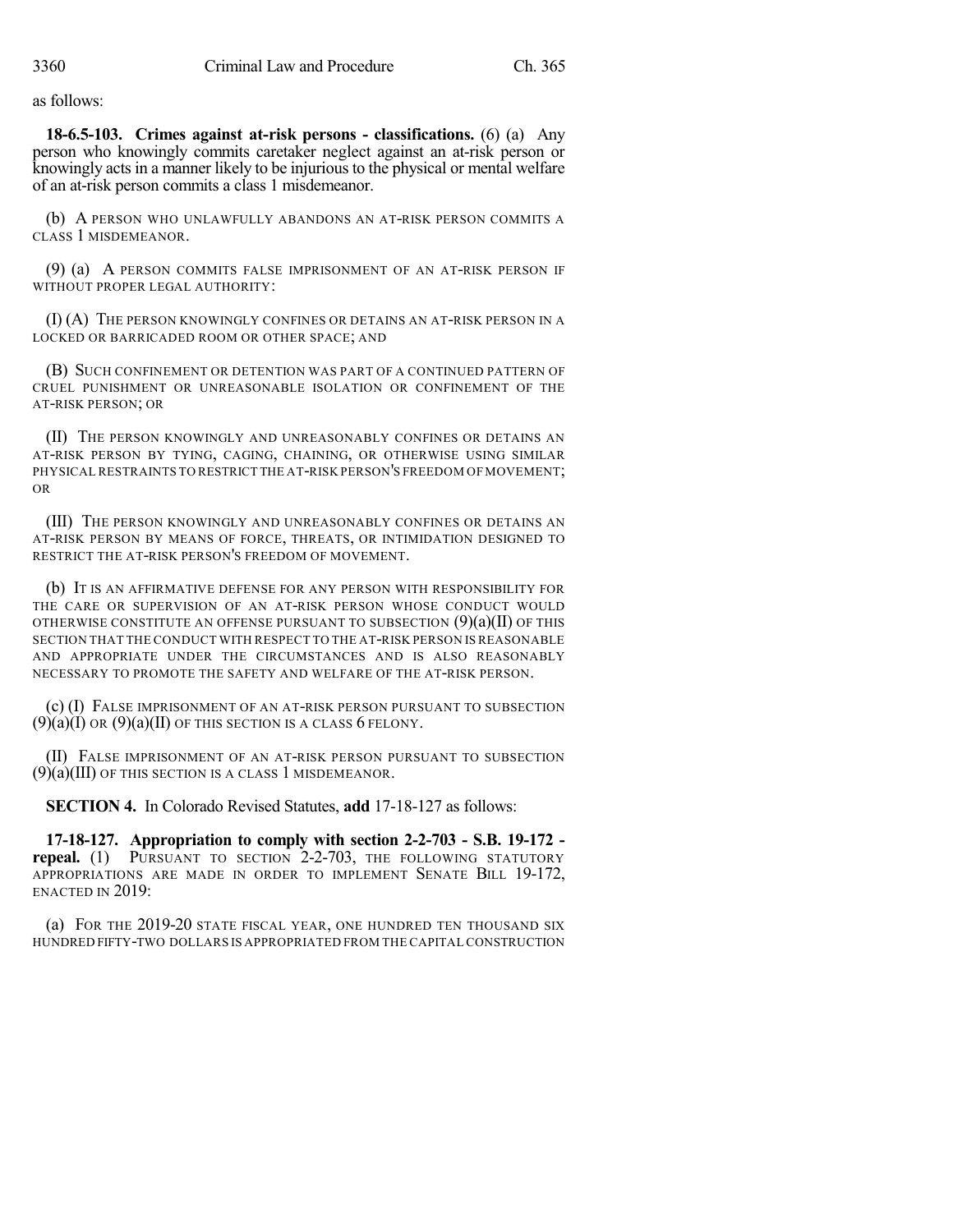as follows:

**18-6.5-103. Crimes against at-risk persons - classifications.** (6) (a) Any person who knowingly commits caretaker neglect against an at-risk person or knowingly acts in a manner likely to be injurious to the physical or mental welfare of an at-risk person commits a class 1 misdemeanor.

(b) A PERSON WHO UNLAWFULLY ABANDONS AN AT-RISK PERSON COMMITS A CLASS 1 MISDEMEANOR.

(9) (a) A PERSON COMMITS FALSE IMPRISONMENT OF AN AT-RISK PERSON IF WITHOUT PROPER LEGAL AUTHORITY:

(I) (A) THE PERSON KNOWINGLY CONFINES OR DETAINS AN AT-RISK PERSON IN A LOCKED OR BARRICADED ROOM OR OTHER SPACE; AND

(B) SUCH CONFINEMENT OR DETENTION WAS PART OF A CONTINUED PATTERN OF CRUEL PUNISHMENT OR UNREASONABLE ISOLATION OR CONFINEMENT OF THE AT-RISK PERSON; OR

(II) THE PERSON KNOWINGLY AND UNREASONABLY CONFINES OR DETAINS AN AT-RISK PERSON BY TYING, CAGING, CHAINING, OR OTHERWISE USING SIMILAR PHYSICAL RESTRAINTS TO RESTRICT THE AT-RISK PERSON'S FREEDOM OF MOVEMENT; OR

(III) THE PERSON KNOWINGLY AND UNREASONABLY CONFINES OR DETAINS AN AT-RISK PERSON BY MEANS OF FORCE, THREATS, OR INTIMIDATION DESIGNED TO RESTRICT THE AT-RISK PERSON'S FREEDOM OF MOVEMENT.

(b) IT IS AN AFFIRMATIVE DEFENSE FOR ANY PERSON WITH RESPONSIBILITY FOR THE CARE OR SUPERVISION OF AN AT-RISK PERSON WHOSE CONDUCT WOULD OTHERWISE CONSTITUTE AN OFFENSE PURSUANT TO SUBSECTION  $(9)(a)(II)$  OF THIS SECTION THAT THE CONDUCT WITH RESPECT TO THE AT-RISK PERSON IS REASONABLE AND APPROPRIATE UNDER THE CIRCUMSTANCES AND IS ALSO REASONABLY NECESSARY TO PROMOTE THE SAFETY AND WELFARE OF THE AT-RISK PERSON.

(c) (I) FALSE IMPRISONMENT OF AN AT-RISK PERSON PURSUANT TO SUBSECTION  $(9)(a)(I)$  OR  $(9)(a)(II)$  OF THIS SECTION IS A CLASS 6 FELONY.

(II) FALSE IMPRISONMENT OF AN AT-RISK PERSON PURSUANT TO SUBSECTION (9)(a)(III) OF THIS SECTION IS A CLASS 1 MISDEMEANOR.

**SECTION 4.** In Colorado Revised Statutes, **add** 17-18-127 as follows:

**17-18-127. Appropriation to comply with section 2-2-703 - S.B. 19-172 repeal.** (1) PURSUANT TO SECTION 2-2-703, THE FOLLOWING STATUTORY APPROPRIATIONS ARE MADE IN ORDER TO IMPLEMENT SENATE BILL 19-172, ENACTED IN 2019:

(a) FOR THE 2019-20 STATE FISCAL YEAR, ONE HUNDRED TEN THOUSAND SIX HUNDRED FIFTY-TWO DOLLARS IS APPROPRIATED FROM THE CAPITAL CONSTRUCTION